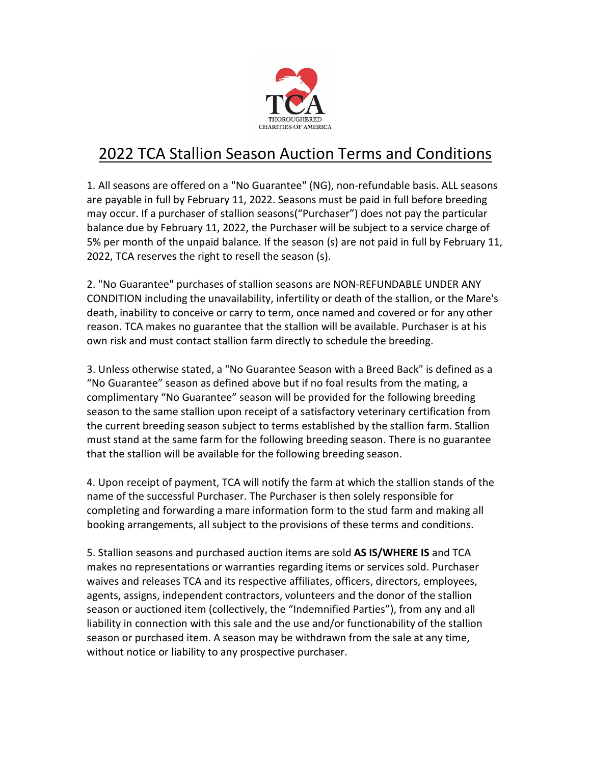

## 2022 TCA Stallion Season Auction Terms and Conditions

1. All seasons are offered on a "No Guarantee" (NG), non-refundable basis. ALL seasons are payable in full by February 11, 2022. Seasons must be paid in full before breeding may occur. If a purchaser of stallion seasons("Purchaser") does not pay the particular balance due by February 11, 2022, the Purchaser will be subject to a service charge of 5% per month of the unpaid balance. If the season (s) are not paid in full by February 11, 2022, TCA reserves the right to resell the season (s).

2. "No Guarantee" purchases of stallion seasons are NON-REFUNDABLE UNDER ANY CONDITION including the unavailability, infertility or death of the stallion, or the Mare's death, inability to conceive or carry to term, once named and covered or for any other reason. TCA makes no guarantee that the stallion will be available. Purchaser is at his own risk and must contact stallion farm directly to schedule the breeding.

3. Unless otherwise stated, a "No Guarantee Season with a Breed Back" is defined as a "No Guarantee" season as defined above but if no foal results from the mating, a complimentary "No Guarantee" season will be provided for the following breeding season to the same stallion upon receipt of a satisfactory veterinary certification from the current breeding season subject to terms established by the stallion farm. Stallion must stand at the same farm for the following breeding season. There is no guarantee that the stallion will be available for the following breeding season.

4. Upon receipt of payment, TCA will notify the farm at which the stallion stands of the name of the successful Purchaser. The Purchaser is then solely responsible for completing and forwarding a mare information form to the stud farm and making all booking arrangements, all subject to the provisions of these terms and conditions.

5. Stallion seasons and purchased auction items are sold **AS IS/WHERE IS** and TCA makes no representations or warranties regarding items or services sold. Purchaser waives and releases TCA and its respective affiliates, officers, directors, employees, agents, assigns, independent contractors, volunteers and the donor of the stallion season or auctioned item (collectively, the "Indemnified Parties"), from any and all liability in connection with this sale and the use and/or functionability of the stallion season or purchased item. A season may be withdrawn from the sale at any time, without notice or liability to any prospective purchaser.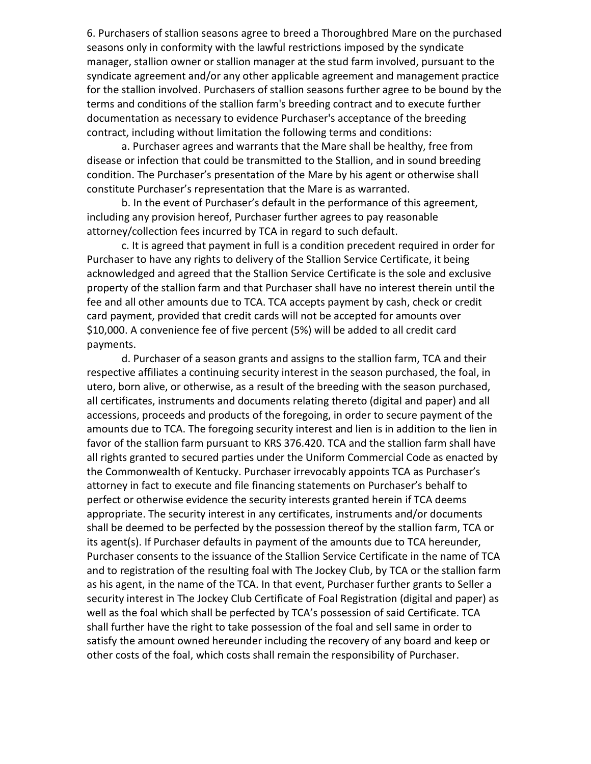6. Purchasers of stallion seasons agree to breed a Thoroughbred Mare on the purchased seasons only in conformity with the lawful restrictions imposed by the syndicate manager, stallion owner or stallion manager at the stud farm involved, pursuant to the syndicate agreement and/or any other applicable agreement and management practice for the stallion involved. Purchasers of stallion seasons further agree to be bound by the terms and conditions of the stallion farm's breeding contract and to execute further documentation as necessary to evidence Purchaser's acceptance of the breeding contract, including without limitation the following terms and conditions:

a. Purchaser agrees and warrants that the Mare shall be healthy, free from disease or infection that could be transmitted to the Stallion, and in sound breeding condition. The Purchaser's presentation of the Mare by his agent or otherwise shall constitute Purchaser's representation that the Mare is as warranted.

b. In the event of Purchaser's default in the performance of this agreement, including any provision hereof, Purchaser further agrees to pay reasonable attorney/collection fees incurred by TCA in regard to such default.

c. It is agreed that payment in full is a condition precedent required in order for Purchaser to have any rights to delivery of the Stallion Service Certificate, it being acknowledged and agreed that the Stallion Service Certificate is the sole and exclusive property of the stallion farm and that Purchaser shall have no interest therein until the fee and all other amounts due to TCA. TCA accepts payment by cash, check or credit card payment, provided that credit cards will not be accepted for amounts over \$10,000. A convenience fee of five percent (5%) will be added to all credit card payments.

d. Purchaser of a season grants and assigns to the stallion farm, TCA and their respective affiliates a continuing security interest in the season purchased, the foal, in utero, born alive, or otherwise, as a result of the breeding with the season purchased, all certificates, instruments and documents relating thereto (digital and paper) and all accessions, proceeds and products of the foregoing, in order to secure payment of the amounts due to TCA. The foregoing security interest and lien is in addition to the lien in favor of the stallion farm pursuant to KRS 376.420. TCA and the stallion farm shall have all rights granted to secured parties under the Uniform Commercial Code as enacted by the Commonwealth of Kentucky. Purchaser irrevocably appoints TCA as Purchaser's attorney in fact to execute and file financing statements on Purchaser's behalf to perfect or otherwise evidence the security interests granted herein if TCA deems appropriate. The security interest in any certificates, instruments and/or documents shall be deemed to be perfected by the possession thereof by the stallion farm, TCA or its agent(s). If Purchaser defaults in payment of the amounts due to TCA hereunder, Purchaser consents to the issuance of the Stallion Service Certificate in the name of TCA and to registration of the resulting foal with The Jockey Club, by TCA or the stallion farm as his agent, in the name of the TCA. In that event, Purchaser further grants to Seller a security interest in The Jockey Club Certificate of Foal Registration (digital and paper) as well as the foal which shall be perfected by TCA's possession of said Certificate. TCA shall further have the right to take possession of the foal and sell same in order to satisfy the amount owned hereunder including the recovery of any board and keep or other costs of the foal, which costs shall remain the responsibility of Purchaser.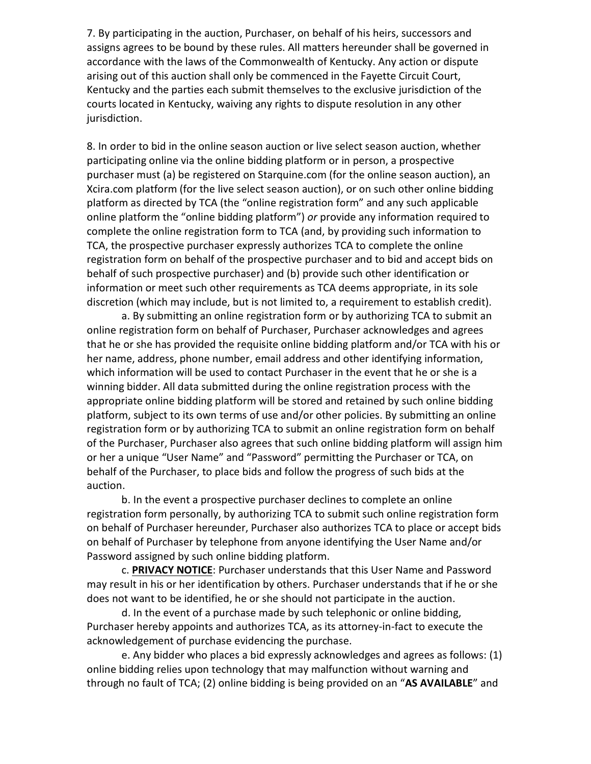7. By participating in the auction, Purchaser, on behalf of his heirs, successors and assigns agrees to be bound by these rules. All matters hereunder shall be governed in accordance with the laws of the Commonwealth of Kentucky. Any action or dispute arising out of this auction shall only be commenced in the Fayette Circuit Court, Kentucky and the parties each submit themselves to the exclusive jurisdiction of the courts located in Kentucky, waiving any rights to dispute resolution in any other jurisdiction.

8. In order to bid in the online season auction or live select season auction, whether participating online via the online bidding platform or in person, a prospective purchaser must (a) be registered on Starquine.com (for the online season auction), an Xcira.com platform (for the live select season auction), or on such other online bidding platform as directed by TCA (the "online registration form" and any such applicable online platform the "online bidding platform") *or* provide any information required to complete the online registration form to TCA (and, by providing such information to TCA, the prospective purchaser expressly authorizes TCA to complete the online registration form on behalf of the prospective purchaser and to bid and accept bids on behalf of such prospective purchaser) and (b) provide such other identification or information or meet such other requirements as TCA deems appropriate, in its sole discretion (which may include, but is not limited to, a requirement to establish credit).

a. By submitting an online registration form or by authorizing TCA to submit an online registration form on behalf of Purchaser, Purchaser acknowledges and agrees that he or she has provided the requisite online bidding platform and/or TCA with his or her name, address, phone number, email address and other identifying information, which information will be used to contact Purchaser in the event that he or she is a winning bidder. All data submitted during the online registration process with the appropriate online bidding platform will be stored and retained by such online bidding platform, subject to its own terms of use and/or other policies. By submitting an online registration form or by authorizing TCA to submit an online registration form on behalf of the Purchaser, Purchaser also agrees that such online bidding platform will assign him or her a unique "User Name" and "Password" permitting the Purchaser or TCA, on behalf of the Purchaser, to place bids and follow the progress of such bids at the auction.

b. In the event a prospective purchaser declines to complete an online registration form personally, by authorizing TCA to submit such online registration form on behalf of Purchaser hereunder, Purchaser also authorizes TCA to place or accept bids on behalf of Purchaser by telephone from anyone identifying the User Name and/or Password assigned by such online bidding platform.

c. **PRIVACY NOTICE**: Purchaser understands that this User Name and Password may result in his or her identification by others. Purchaser understands that if he or she does not want to be identified, he or she should not participate in the auction.

d. In the event of a purchase made by such telephonic or online bidding, Purchaser hereby appoints and authorizes TCA, as its attorney-in-fact to execute the acknowledgement of purchase evidencing the purchase.

e. Any bidder who places a bid expressly acknowledges and agrees as follows: (1) online bidding relies upon technology that may malfunction without warning and through no fault of TCA; (2) online bidding is being provided on an "**AS AVAILABLE**" and